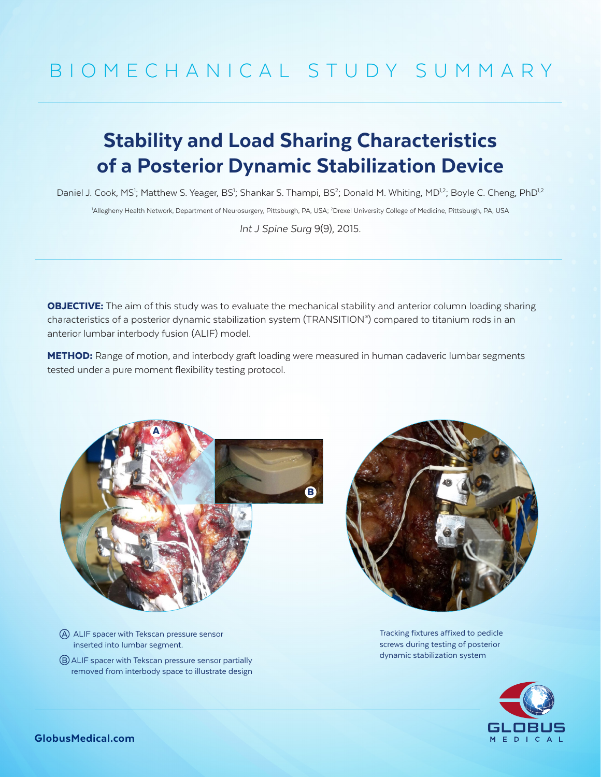## BIOMECHANICAL STUDY SUMMARY

## Stability and Load Sharing Characteristics of a Posterior Dynamic Stabilization Device

Daniel J. Cook, MS<sup>1</sup>; Matthew S. Yeager, BS<sup>1</sup>; Shankar S. Thampi, BS<sup>2</sup>; Donald M. Whiting, MD<sup>1,2</sup>; Boyle C. Cheng, PhD<sup>1,2</sup> <sup>1</sup>Allegheny Health Network, Department of Neurosurgery, Pittsburgh, PA, USA; <sup>2</sup>Drexel University College of Medicine, Pittsburgh, PA, USA

*Int J Spine Surg* 9(9), 2015.

**OBJECTIVE:** The aim of this study was to evaluate the mechanical stability and anterior column loading sharing characteristics of a posterior dynamic stabilization system (TRANSITION® ) compared to titanium rods in an anterior lumbar interbody fusion (ALIF) model.

**METHOD:** Range of motion, and interbody graft loading were measured in human cadaveric lumbar segments tested under a pure moment flexibility testing protocol.



- A ALIF spacer with Tekscan pressure sensor inserted into lumbar segment.
- B ALIF spacer with Tekscan pressure sensor partially removed from interbody space to illustrate design



Tracking fixtures affixed to pedicle screws during testing of posterior dynamic stabilization system